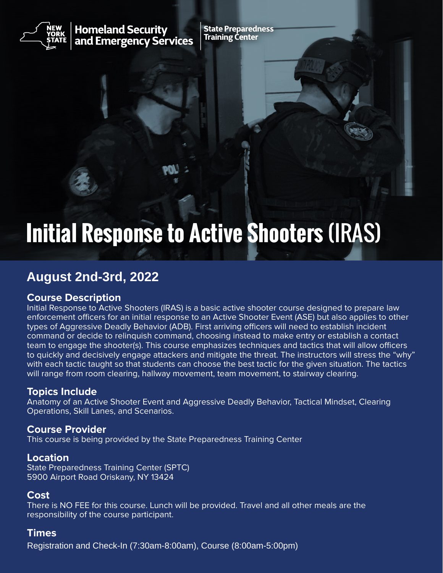

**Homeland Security** and Emergency Services **State Preparedness Training Center** 

# **Initial Response to Active Shooters** (IRAS)

# **August 2nd-3rd, 2022**

# **Course Description**

Initial Response to Active Shooters (IRAS) is a basic active shooter course designed to prepare law enforcement officers for an initial response to an Active Shooter Event (ASE) but also applies to other types of Aggressive Deadly Behavior (ADB). First arriving officers will need to establish incident command or decide to relinquish command, choosing instead to make entry or establish a contact team to engage the shooter(s). This course emphasizes techniques and tactics that will allow officers to quickly and decisively engage attackers and mitigate the threat. The instructors will stress the "why" with each tactic taught so that students can choose the best tactic for the given situation. The tactics will range from room clearing, hallway movement, team movement, to stairway clearing.

#### **Topics Include**

Anatomy of an Active Shooter Event and Aggressive Deadly Behavior, Tactical Mindset, Clearing Operations, Skill Lanes, and Scenarios.

#### **Course Provider**

This course is being provided by the State Preparedness Training Center

#### **Location**

State Preparedness Training Center (SPTC) 5900 Airport Road Oriskany, NY 13424

#### **Cost**

There is NO FEE for this course. Lunch will be provided. Travel and all other meals are the responsibility of the course participant.

#### **Times**

Registration and Check-In (7:30am-8:00am), Course (8:00am-5:00pm)